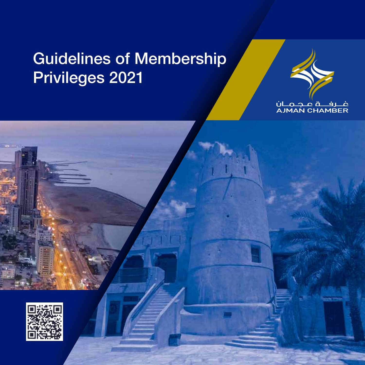## Guidelines of Membership Privileges 2021



### <u>، رف ہے کہ ان</u><br>AJMAN CHAMBER



ww.ale | 800 70 | info@ajmanchamber.ae | P.O.Box 662, Ajman, U.A.E. Ajman, U.A.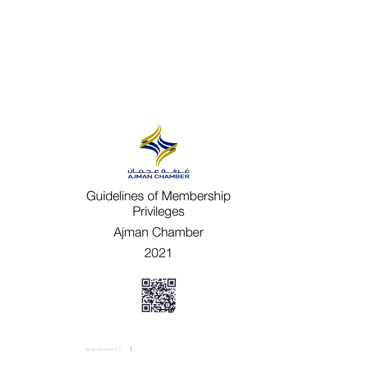

### Guidelines of Membership Privileges

### Ajman Chamber

2021



Ajman Chamber 13  $\overline{\phantom{0}}$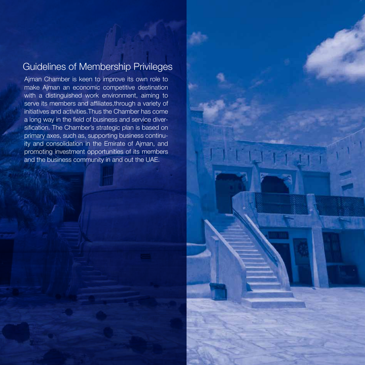#### Guidelines of Membership Privileges

Ajman Chamber is keen to improve its own role to make Ajman an economic competitive destination with a distinguished work environment, aiming to serve its members and affiliates,through a variety of initiatives and activities.Thus the Chamber has come a long way in the field of business and service diversification. The Chamber's strategic plan is based on primary axes, such as, supporting business continuity and consolidation in the Emirate of Ajman, and promoting investment opportunities of its members and the business community in and out the UAE.

4 2021 Guidelines of Membership Privileges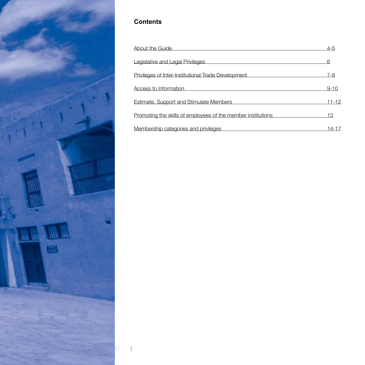

#### **Contents**

 $\overline{\phantom{a}}$ 

| About the Guide                                              | $4 - 5$  |
|--------------------------------------------------------------|----------|
| Legislative and Legal Privileges                             | 6        |
| Privileges of Inter-Institutional Trade Development          | 7-8      |
| Access to Information                                        | $9 - 10$ |
| Estimate, Support and Stimulate Members                      | 11-12    |
| Promoting the skills of employees of the member institutions | 13       |
| Membership categories and privileges                         | 14-17    |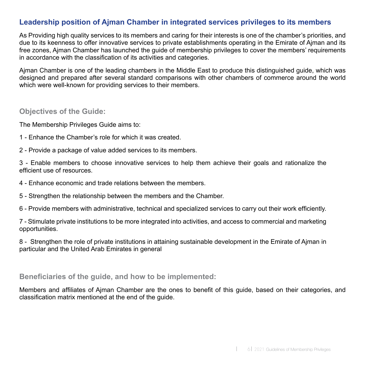#### **Leadership position of Ajman Chamber in integrated services privileges to its members**

As Providing high quality services to its members and caring for their interests is one of the chamber's priorities, and due to its keenness to offer innovative services to private establishments operating in the Emirate of Ajman and its free zones, Ajman Chamber has launched the guide of membership privileges to cover the members' requirements in accordance with the classification of its activities and categories.

Ajman Chamber is one of the leading chambers in the Middle East to produce this distinguished guide, which was designed and prepared after several standard comparisons with other chambers of commerce around the world which were well-known for providing services to their members.

#### **Objectives of the Guide:**

The Membership Privileges Guide aims to:

- 1 Enhance the Chamber's role for which it was created.
- 2 Provide a package of value added services to its members.

3 - Enable members to choose innovative services to help them achieve their goals and rationalize the efficient use of resources.

- 4 Enhance economic and trade relations between the members.
- 5 Strengthen the relationship between the members and the Chamber.
- 6 Provide members with administrative, technical and specialized services to carry out their work efficiently.

7 - Stimulate private institutions to be more integrated into activities, and access to commercial and marketing opportunities.

8 - Strengthen the role of private institutions in attaining sustainable development in the Emirate of Ajman in particular and the United Arab Emirates in general

#### **Beneficiaries of the guide, and how to be implemented:**

Members and affiliates of Ajman Chamber are the ones to benefit of this guide, based on their categories, and classification matrix mentioned at the end of the guide.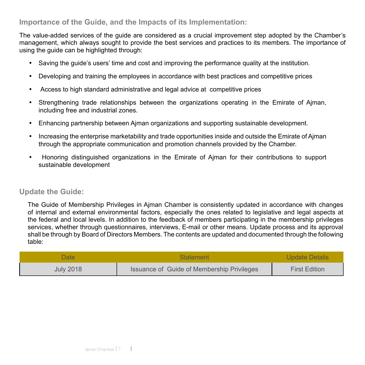#### **Importance of the Guide, and the Impacts of its Implementation:**

The value-added services of the guide are considered as a crucial improvement step adopted by the Chamber's management, which always sought to provide the best services and practices to its members. The importance of using the guide can be highlighted through:

- Saving the guide's users' time and cost and improving the performance quality at the institution.
- Developing and training the employees in accordance with best practices and competitive prices
- · Access to high standard administrative and legal advice at competitive prices
- Strengthening trade relationships between the organizations operating in the Emirate of Aiman, including free and industrial zones.
- Enhancing partnership between Ajman organizations and supporting sustainable development.
- Increasing the enterprise marketability and trade opportunities inside and outside the Emirate of Ajman through the appropriate communication and promotion channels provided by the Chamber.
- · Honoring distinguished organizations in the Emirate of Ajman for their contributions to support sustainable development

#### **Update the Guide:**

The Guide of Membership Privileges in Ajman Chamber is consistently updated in accordance with changes of internal and external environmental factors, especially the ones related to legislative and legal aspects at the federal and local levels. In addition to the feedback of members participating in the membership privileges services, whether through questionnaires, interviews, E-mail or other means. Update process and its approval shall be through by Board of Directors Members. The contents are updated and documented through the following table:

| Date             | <b>Statement</b>                                  | <b>Update Details</b> |
|------------------|---------------------------------------------------|-----------------------|
| <b>July 2018</b> | <b>Issuance of Guide of Membership Privileges</b> | <b>First Edition</b>  |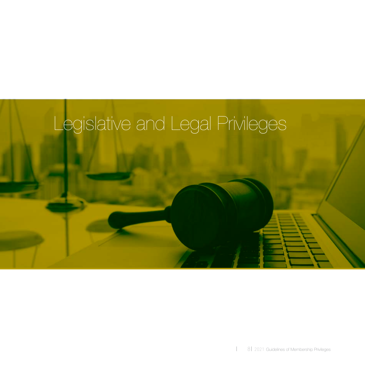

 $\overline{\phantom{a}}$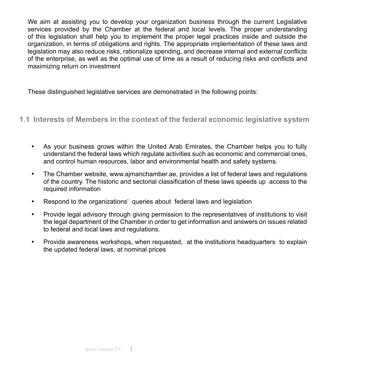We aim at assisting you to develop your organization business through the current Legislative services provided by the Chamber at the federal and local levels. The proper understanding of this legislation shall help you to implement the proper legal practices inside and outside the organization, in terms of obligations and rights. The appropriate implementation of these laws and legislation may also reduce risks, rationalize spending, and decrease internal and external conflicts of the enterprise, as well as the optimal use of time as a result of reducing risks and conflicts and maximizing return on investment

These distinguished legislative services are demonstrated in the following points:

#### **1.1 Interests of Members in the context of the federal economic legislative system**

- As your business grows within the United Arab Emirates, the Chamber helps you to fully understand the federal laws which regulate activities such as economic and commercial ones, and control human resources, labor and environmental health and safety systems.
- The Chamber website, www.ajmanchamber.ae, provides a list of federal laws and regulations of the country. The historic and sectorial classification of these laws speeds up access to the required information
- · Respond to the organizations' queries about federal laws and legislation
- · Provide legal advisory through giving permission to the representatives of institutions to visit the legal department of the Chamber in order to get information and answers on issues related to federal and local laws and regulations.
- · Provide awareness workshops, when requested, at the institutions headquarters to explain the updated federal laws, at nominal prices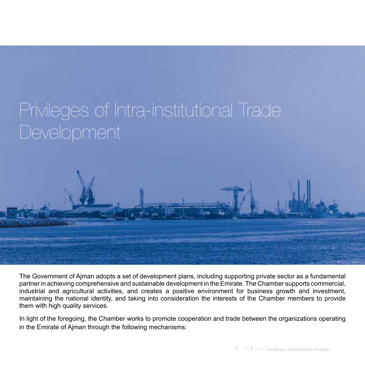## Privileges of Intra-institutional Trade Development



The Government of Ajman adopts a set of development plans, including supporting private sector as a fundamental partner in achieving comprehensive and sustainable development in the Emirate. The Chamber supports commercial, industrial and agricultural activities, and creates a positive environment for business growth and investment, maintaining the national identity, and taking into consideration the interests of the Chamber members to provide them with high quality services.

In light of the foregoing, the Chamber works to promote cooperation and trade between the organizations operating in the Emirate of Ajman through the following mechanisms: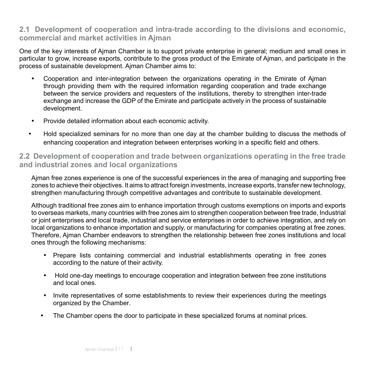#### **2.1 Development of cooperation and intra-trade according to the divisions and economic, commercial and market activities in Ajman**

One of the key interests of Ajman Chamber is to support private enterprise in general; medium and small ones in particular to grow, increase exports, contribute to the gross product of the Emirate of Ajman, and participate in the process of sustainable development. Ajman Chamber aims to:

- · Cooperation and inter-integration between the organizations operating in the Emirate of Ajman through providing them with the required information regarding cooperation and trade exchange between the service providers and requesters of the institutions, thereby to strengthen inter-trade exchange and increase the GDP of the Emirate and participate actively in the process of sustainable development.
- · Provide detailed information about each economic activity.
- · Hold specialized seminars for no more than one day at the chamber building to discuss the methods of enhancing cooperation and integration between enterprises working in a specific field and others.

#### **2.2 Development of cooperation and trade between organizations operating in the free trade and industrial zones and local organizations**

Ajman free zones experience is one of the successful experiences in the area of managing and supporting free zones to achieve their objectives. It aims to attract foreign investments, increase exports, transfer new technology, strengthen manufacturing through competitive advantages and contribute to sustainable development.

Although traditional free zones aim to enhance importation through customs exemptions on imports and exports to overseas markets, many countries with free zones aim to strengthen cooperation between free trade, Industrial or joint enterprises and local trade, industrial and service enterprises in order to achieve integration, and rely on local organizations to enhance importation and supply, or manufacturing for companies operating at free zones. Therefore, Ajman Chamber endeavors to strengthen the relationship between free zones institutions and local ones through the following mechanisms:

- · Prepare lists containing commercial and industrial establishments operating in free zones according to the nature of their activity.
- · Hold one-day meetings to encourage cooperation and integration between free zone institutions and local ones.
- Invite representatives of some establishments to review their experiences during the meetings organized by the Chamber.
- The Chamber opens the door to participate in these specialized forums at nominal prices.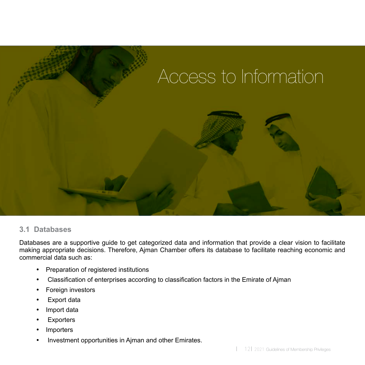

#### **3.1 Databases**

Databases are a supportive guide to get categorized data and information that provide a clear vision to facilitate making appropriate decisions. Therefore, Ajman Chamber offers its database to facilitate reaching economic and commercial data such as:

- · Preparation of registered institutions
- · Classification of enterprises according to classification factors in the Emirate of Ajman
- · Foreign investors
- · Export data
- · Import data
- · Exporters
- · Importers
- · Investment opportunities in Ajman and other Emirates.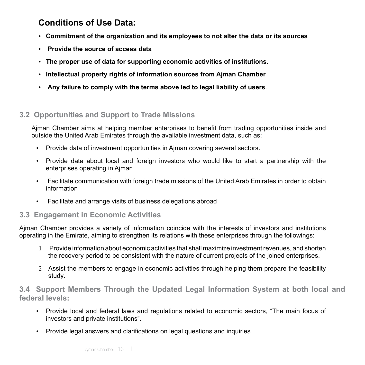#### **Conditions of Use Data:**

- • **Commitment of the organization and its employees to not alter the data or its sources**
- **Provide the source of access data**
- • **The proper use of data for supporting economic activities of institutions.**
- • **Intellectual property rights of information sources from Ajman Chamber**
- **Any failure to comply with the terms above led to legal liability of users**.

#### **3.2 Opportunities and Support to Trade Missions**

Ajman Chamber aims at helping member enterprises to benefit from trading opportunities inside and outside the United Arab Emirates through the available investment data, such as:

- • Provide data of investment opportunities in Ajman covering several sectors.
- • Provide data about local and foreign investors who would like to start a partnership with the enterprises operating in Ajman
- Facilitate communication with foreign trade missions of the United Arab Emirates in order to obtain information
- Facilitate and arrange visits of business delegations abroad

#### **3.3 Engagement in Economic Activities**

Ajman Chamber provides a variety of information coincide with the interests of investors and institutions operating in the Emirate, aiming to strengthen its relations with these enterprises through the followings:

- 1 Provide information about economic activities that shall maximize investment revenues, and shorten the recovery period to be consistent with the nature of current projects of the joined enterprises.
- 2 Assist the members to engage in economic activities through helping them prepare the feasibility study.

**3.4 Support Members Through the Updated Legal Information System at both local and federal levels:**

- • Provide local and federal laws and regulations related to economic sectors, "The main focus of investors and private institutions".
- • Provide legal answers and clarifications on legal questions and inquiries.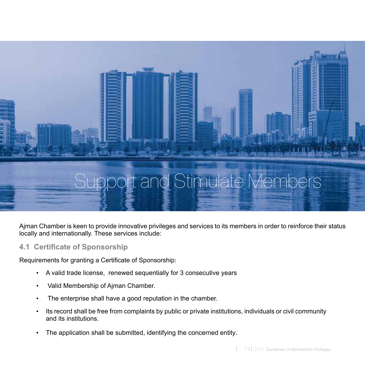

Ajman Chamber is keen to provide innovative privileges and services to its members in order to reinforce their status locally and internationally. These services include:

#### **4.1 Certificate of Sponsorship**

Requirements for granting a Certificate of Sponsorship:

- A valid trade license, renewed sequentially for 3 consecutive years
- Valid Membership of Ajman Chamber.
- The enterprise shall have a good reputation in the chamber.
- Its record shall be free from complaints by public or private institutions, individuals or civil community and its institutions.
- The application shall be submitted, identifying the concerned entity.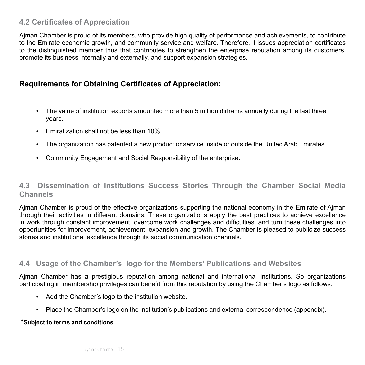#### **4.2 Certificates of Appreciation**

Ajman Chamber is proud of its members, who provide high quality of performance and achievements, to contribute to the Emirate economic growth, and community service and welfare. Therefore, it issues appreciation certificates to the distinguished member thus that contributes to strengthen the enterprise reputation among its customers, promote its business internally and externally, and support expansion strategies.

#### **Requirements for Obtaining Certificates of Appreciation:**

- The value of institution exports amounted more than 5 million dirhams annually during the last three years.
- Fmiratization shall not be less than 10%
- The organization has patented a new product or service inside or outside the United Arab Emirates.
- • Community Engagement and Social Responsibility of the enterprise.

#### **4.3 Dissemination of Institutions Success Stories Through the Chamber Social Media Channels**

Ajman Chamber is proud of the effective organizations supporting the national economy in the Emirate of Ajman through their activities in different domains. These organizations apply the best practices to achieve excellence in work through constant improvement, overcome work challenges and difficulties, and turn these challenges into opportunities for improvement, achievement, expansion and growth. The Chamber is pleased to publicize success stories and institutional excellence through its social communication channels.

#### **4.4 Usage of the Chamber's logo for the Members' Publications and Websites**

Ajman Chamber has a prestigious reputation among national and international institutions. So organizations participating in membership privileges can benefit from this reputation by using the Chamber's logo as follows:

- Add the Chamber's logo to the institution website.
- Place the Chamber's logo on the institution's publications and external correspondence (appendix).

#### \***Subject to terms and conditions**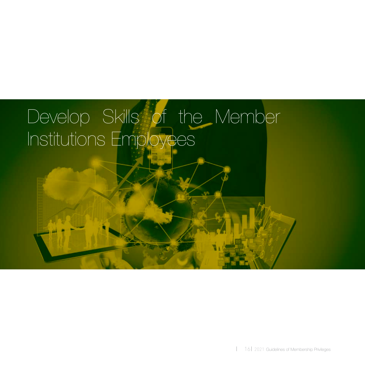# Develop Skills of the Member Institutions Employees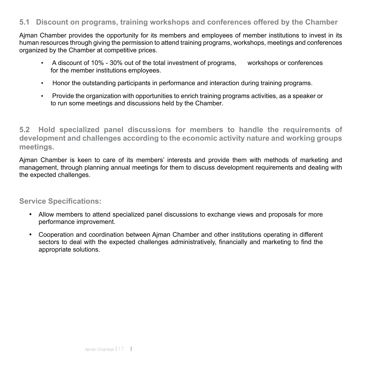#### **5.1 Discount on programs, training workshops and conferences offered by the Chamber**

Ajman Chamber provides the opportunity for its members and employees of member institutions to invest in its human resources through giving the permission to attend training programs, workshops, meetings and conferences organized by the Chamber at competitive prices.

- A discount of 10% 30% out of the total investment of programs, workshops or conferences for the member institutions employees.
- Honor the outstanding participants in performance and interaction during training programs.
- • Provide the organization with opportunities to enrich training programs activities, as a speaker or to run some meetings and discussions held by the Chamber.

**5.2 Hold specialized panel discussions for members to handle the requirements of development and challenges according to the economic activity nature and working groups meetings.**

Ajman Chamber is keen to care of its members' interests and provide them with methods of marketing and management, through planning annual meetings for them to discuss development requirements and dealing with the expected challenges.

#### **Service Specifications:**

- Allow members to attend specialized panel discussions to exchange views and proposals for more performance improvement.
- · Cooperation and coordination between Ajman Chamber and other institutions operating in different sectors to deal with the expected challenges administratively, financially and marketing to find the appropriate solutions.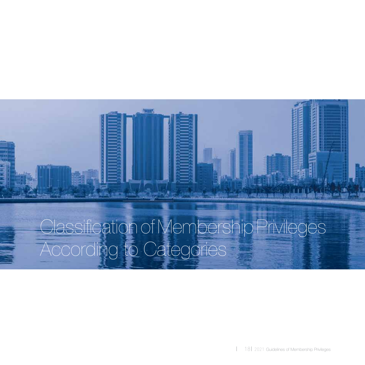

# Classification of Membership Privileges According to Categories

18 2021 Guidelines of Membership Privileges

 $\overline{\phantom{a}}$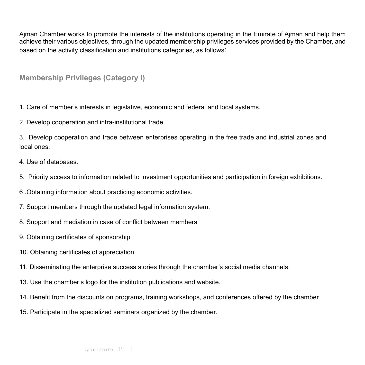Ajman Chamber works to promote the interests of the institutions operating in the Emirate of Ajman and help them achieve their various objectives, through the updated membership privileges services provided by the Chamber, and based on the activity classification and institutions categories, as follows:

**Membership Privileges (Category I)**

1. Care of member's interests in legislative, economic and federal and local systems.

2. Develop cooperation and intra-institutional trade.

3. Develop cooperation and trade between enterprises operating in the free trade and industrial zones and local ones.

- 4. Use of databases.
- 5. Priority access to information related to investment opportunities and participation in foreign exhibitions.
- 6 .Obtaining information about practicing economic activities.
- 7. Support members through the updated legal information system.
- 8. Support and mediation in case of conflict between members
- 9. Obtaining certificates of sponsorship
- 10. Obtaining certificates of appreciation
- 11. Disseminating the enterprise success stories through the chamber's social media channels.
- 13. Use the chamber's logo for the institution publications and website.
- 14. Benefit from the discounts on programs, training workshops, and conferences offered by the chamber
- 15. Participate in the specialized seminars organized by the chamber.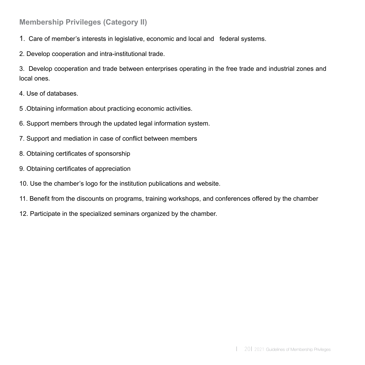#### **Membership Privileges (Category II)**

- 1. Care of member's interests in legislative, economic and local and federal systems.
- 2. Develop cooperation and intra-institutional trade.

3. Develop cooperation and trade between enterprises operating in the free trade and industrial zones and local ones.

- 4. Use of databases.
- 5 .Obtaining information about practicing economic activities.
- 6. Support members through the updated legal information system.
- 7. Support and mediation in case of conflict between members
- 8. Obtaining certificates of sponsorship
- 9. Obtaining certificates of appreciation
- 10. Use the chamber's logo for the institution publications and website.
- 11. Benefit from the discounts on programs, training workshops, and conferences offered by the chamber
- 12. Participate in the specialized seminars organized by the chamber.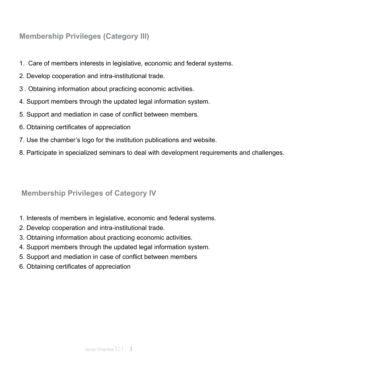#### **Membership Privileges (Category III)**

- 1. Care of members interests in legislative, economic and federal systems.
- 2. Develop cooperation and intra-institutional trade.
- 3 . Obtaining information about practicing economic activities.
- 4. Support members through the updated legal information system.
- 5. Support and mediation in case of conflict between members.
- 6. Obtaining certificates of appreciation
- 7. Use the chamber's logo for the institution publications and website.
- 8. Participate in specialized seminars to deal with development requirements and challenges.

#### **Membership Privileges of Category IV**

- 1. Interests of members in legislative, economic and federal systems.
- 2. Develop cooperation and intra-institutional trade.
- 3. Obtaining information about practicing economic activities.
- 4. Support members through the updated legal information system.
- 5. Support and mediation in case of conflict between members
- 6. Obtaining certificates of appreciation